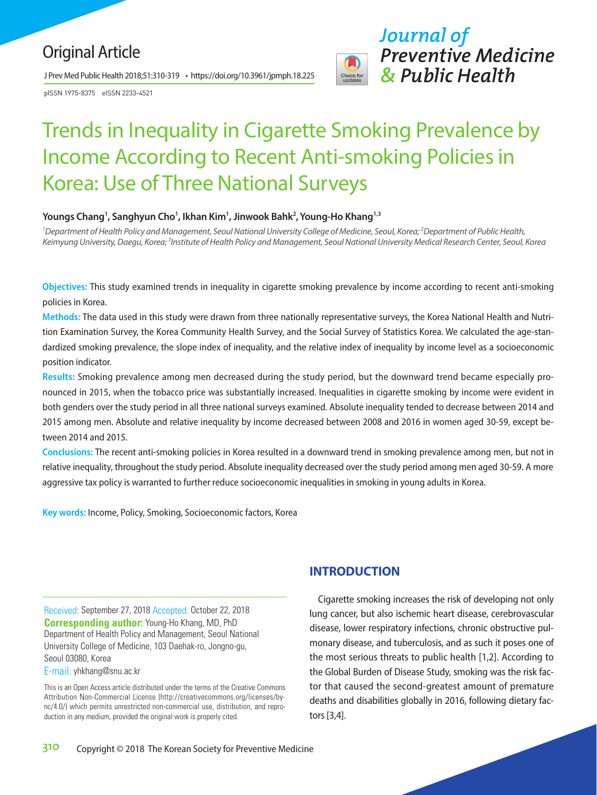# Original Article

J Prev Med Public Health 2018;51:310-319 • https://doi.org/10.3961/jpmph.18.225

pISSN 1975-8375 eISSN 2233-4521



# Trends in Inequality in Cigarette Smoking Prevalence by Income According to Recent Anti-smoking Policies in Korea: Use of Three National Surveys

#### **Youngs Chang1 , Sanghyun Cho1 , Ikhan Kim1 , Jinwook Bahk2 , Young-Ho Khang1,3**

*1 Department of Health Policy and Management, Seoul National University College of Medicine, Seoul, Korea; 2 Department of Public Health,*  Keimyung University, Daegu, Korea; <sup>3</sup>Institute of Health Policy and Management, Seoul National University Medical Research Center, Seoul, Korea

**Objectives:** This study examined trends in inequality in cigarette smoking prevalence by income according to recent anti-smoking policies in Korea.

**Methods:** The data used in this study were drawn from three nationally representative surveys, the Korea National Health and Nutrition Examination Survey, the Korea Community Health Survey, and the Social Survey of Statistics Korea. We calculated the age-standardized smoking prevalence, the slope index of inequality, and the relative index of inequality by income level as a socioeconomic position indicator.

**Results:** Smoking prevalence among men decreased during the study period, but the downward trend became especially pronounced in 2015, when the tobacco price was substantially increased. Inequalities in cigarette smoking by income were evident in both genders over the study period in all three national surveys examined. Absolute inequality tended to decrease between 2014 and 2015 among men. Absolute and relative inequality by income decreased between 2008 and 2016 in women aged 30-59, except between 2014 and 2015.

**Conclusions:** The recent anti-smoking policies in Korea resulted in a downward trend in smoking prevalence among men, but not in relative inequality, throughout the study period. Absolute inequality decreased over the study period among men aged 30-59. A more aggressive tax policy is warranted to further reduce socioeconomic inequalities in smoking in young adults in Korea.

**Key words:** Income, Policy, Smoking, Socioeconomic factors, Korea

Received: September 27, 2018 Accepted: October 22, 2018 **Corresponding author:** Young-Ho Khang, MD, PhD Department of Health Policy and Management, Seoul National University College of Medicine, 103 Daehak-ro, Jongno-gu, Seoul 03080, Korea

E-mail: yhkhang@snu.ac.kr

This is an Open Access article distributed under the terms of the Creative Commons Attribution Non-Commercial License (http://creativecommons.org/licenses/bync/4.0/) which permits unrestricted non-commercial use, distribution, and reproduction in any medium, provided the original work is properly cited.

# **INTRODUCTION**

Cigarette smoking increases the risk of developing not only lung cancer, but also ischemic heart disease, cerebrovascular disease, lower respiratory infections, chronic obstructive pulmonary disease, and tuberculosis, and as such it poses one of the most serious threats to public health [1,2]. According to the Global Burden of Disease Study, smoking was the risk factor that caused the second-greatest amount of premature deaths and disabilities globally in 2016, following dietary factors [3,4].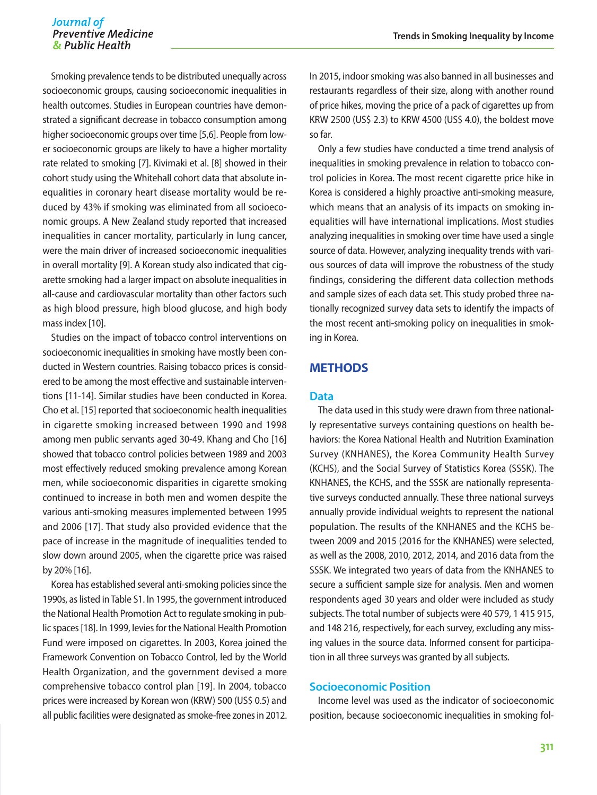Smoking prevalence tends to be distributed unequally across socioeconomic groups, causing socioeconomic inequalities in health outcomes. Studies in European countries have demonstrated a significant decrease in tobacco consumption among higher socioeconomic groups over time [5,6]. People from lower socioeconomic groups are likely to have a higher mortality rate related to smoking [7]. Kivimaki et al. [8] showed in their cohort study using the Whitehall cohort data that absolute inequalities in coronary heart disease mortality would be reduced by 43% if smoking was eliminated from all socioeconomic groups. A New Zealand study reported that increased inequalities in cancer mortality, particularly in lung cancer, were the main driver of increased socioeconomic inequalities in overall mortality [9]. A Korean study also indicated that cigarette smoking had a larger impact on absolute inequalities in all-cause and cardiovascular mortality than other factors such as high blood pressure, high blood glucose, and high body mass index [10].

Studies on the impact of tobacco control interventions on socioeconomic inequalities in smoking have mostly been conducted in Western countries. Raising tobacco prices is considered to be among the most effective and sustainable interventions [11-14]. Similar studies have been conducted in Korea. Cho et al. [15] reported that socioeconomic health inequalities in cigarette smoking increased between 1990 and 1998 among men public servants aged 30-49. Khang and Cho [16] showed that tobacco control policies between 1989 and 2003 most effectively reduced smoking prevalence among Korean men, while socioeconomic disparities in cigarette smoking continued to increase in both men and women despite the various anti-smoking measures implemented between 1995 and 2006 [17]. That study also provided evidence that the pace of increase in the magnitude of inequalities tended to slow down around 2005, when the cigarette price was raised by 20% [16].

Korea has established several anti-smoking policies since the 1990s, as listed in Table S1. In 1995, the government introduced the National Health Promotion Act to regulate smoking in public spaces [18]. In 1999, levies for the National Health Promotion Fund were imposed on cigarettes. In 2003, Korea joined the Framework Convention on Tobacco Control, led by the World Health Organization, and the government devised a more comprehensive tobacco control plan [19]. In 2004, tobacco prices were increased by Korean won (KRW) 500 (US\$ 0.5) and all public facilities were designated as smoke-free zones in 2012. In 2015, indoor smoking was also banned in all businesses and restaurants regardless of their size, along with another round of price hikes, moving the price of a pack of cigarettes up from KRW 2500 (US\$ 2.3) to KRW 4500 (US\$ 4.0), the boldest move so far.

Only a few studies have conducted a time trend analysis of inequalities in smoking prevalence in relation to tobacco control policies in Korea. The most recent cigarette price hike in Korea is considered a highly proactive anti-smoking measure, which means that an analysis of its impacts on smoking inequalities will have international implications. Most studies analyzing inequalities in smoking over time have used a single source of data. However, analyzing inequality trends with various sources of data will improve the robustness of the study findings, considering the different data collection methods and sample sizes of each data set. This study probed three nationally recognized survey data sets to identify the impacts of the most recent anti-smoking policy on inequalities in smoking in Korea.

#### **METHODS**

#### **Data**

The data used in this study were drawn from three nationally representative surveys containing questions on health behaviors: the Korea National Health and Nutrition Examination Survey (KNHANES), the Korea Community Health Survey (KCHS), and the Social Survey of Statistics Korea (SSSK). The KNHANES, the KCHS, and the SSSK are nationally representative surveys conducted annually. These three national surveys annually provide individual weights to represent the national population. The results of the KNHANES and the KCHS between 2009 and 2015 (2016 for the KNHANES) were selected, as well as the 2008, 2010, 2012, 2014, and 2016 data from the SSSK. We integrated two years of data from the KNHANES to secure a sufficient sample size for analysis. Men and women respondents aged 30 years and older were included as study subjects. The total number of subjects were 40 579, 1 415 915, and 148 216, respectively, for each survey, excluding any missing values in the source data. Informed consent for participation in all three surveys was granted by all subjects.

#### **Socioeconomic Position**

Income level was used as the indicator of socioeconomic position, because socioeconomic inequalities in smoking fol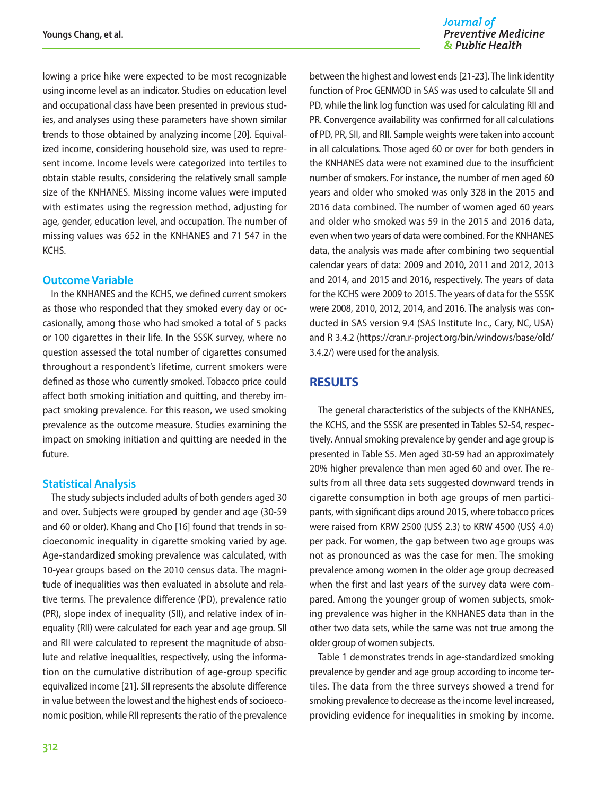lowing a price hike were expected to be most recognizable using income level as an indicator. Studies on education level and occupational class have been presented in previous studies, and analyses using these parameters have shown similar trends to those obtained by analyzing income [20]. Equivalized income, considering household size, was used to represent income. Income levels were categorized into tertiles to obtain stable results, considering the relatively small sample size of the KNHANES. Missing income values were imputed with estimates using the regression method, adjusting for age, gender, education level, and occupation. The number of missing values was 652 in the KNHANES and 71 547 in the **KCHS** 

#### **Outcome Variable**

In the KNHANES and the KCHS, we defined current smokers as those who responded that they smoked every day or occasionally, among those who had smoked a total of 5 packs or 100 cigarettes in their life. In the SSSK survey, where no question assessed the total number of cigarettes consumed throughout a respondent's lifetime, current smokers were defined as those who currently smoked. Tobacco price could affect both smoking initiation and quitting, and thereby impact smoking prevalence. For this reason, we used smoking prevalence as the outcome measure. Studies examining the impact on smoking initiation and quitting are needed in the future.

#### **Statistical Analysis**

The study subjects included adults of both genders aged 30 and over. Subjects were grouped by gender and age (30-59 and 60 or older). Khang and Cho [16] found that trends in socioeconomic inequality in cigarette smoking varied by age. Age-standardized smoking prevalence was calculated, with 10-year groups based on the 2010 census data. The magnitude of inequalities was then evaluated in absolute and relative terms. The prevalence difference (PD), prevalence ratio (PR), slope index of inequality (SII), and relative index of inequality (RII) were calculated for each year and age group. SII and RII were calculated to represent the magnitude of absolute and relative inequalities, respectively, using the information on the cumulative distribution of age-group specific equivalized income [21]. SII represents the absolute difference in value between the lowest and the highest ends of socioeconomic position, while RII represents the ratio of the prevalence

between the highest and lowest ends [21-23]. The link identity function of Proc GENMOD in SAS was used to calculate SII and PD, while the link log function was used for calculating RII and PR. Convergence availability was confirmed for all calculations of PD, PR, SII, and RII. Sample weights were taken into account in all calculations. Those aged 60 or over for both genders in the KNHANES data were not examined due to the insufficient number of smokers. For instance, the number of men aged 60 years and older who smoked was only 328 in the 2015 and 2016 data combined. The number of women aged 60 years and older who smoked was 59 in the 2015 and 2016 data, even when two years of data were combined. For the KNHANES data, the analysis was made after combining two sequential calendar years of data: 2009 and 2010, 2011 and 2012, 2013 and 2014, and 2015 and 2016, respectively. The years of data for the KCHS were 2009 to 2015. The years of data for the SSSK were 2008, 2010, 2012, 2014, and 2016. The analysis was conducted in SAS version 9.4 (SAS Institute Inc., Cary, NC, USA) and R 3.4.2 ([https://cran.r-project.org/bin/windows/base/old/](https://cran.r-project.org/bin/windows/base/old/3.4.2/)  [3.4.2/\)](https://cran.r-project.org/bin/windows/base/old/3.4.2/) were used for the analysis.

# **RESULTS**

The general characteristics of the subjects of the KNHANES, the KCHS, and the SSSK are presented in Tables S2-S4, respectively. Annual smoking prevalence by gender and age group is presented in Table S5. Men aged 30-59 had an approximately 20% higher prevalence than men aged 60 and over. The results from all three data sets suggested downward trends in cigarette consumption in both age groups of men participants, with significant dips around 2015, where tobacco prices were raised from KRW 2500 (US\$ 2.3) to KRW 4500 (US\$ 4.0) per pack. For women, the gap between two age groups was not as pronounced as was the case for men. The smoking prevalence among women in the older age group decreased when the first and last years of the survey data were compared. Among the younger group of women subjects, smoking prevalence was higher in the KNHANES data than in the other two data sets, while the same was not true among the older group of women subjects.

Table 1 demonstrates trends in age-standardized smoking prevalence by gender and age group according to income tertiles. The data from the three surveys showed a trend for smoking prevalence to decrease as the income level increased, providing evidence for inequalities in smoking by income.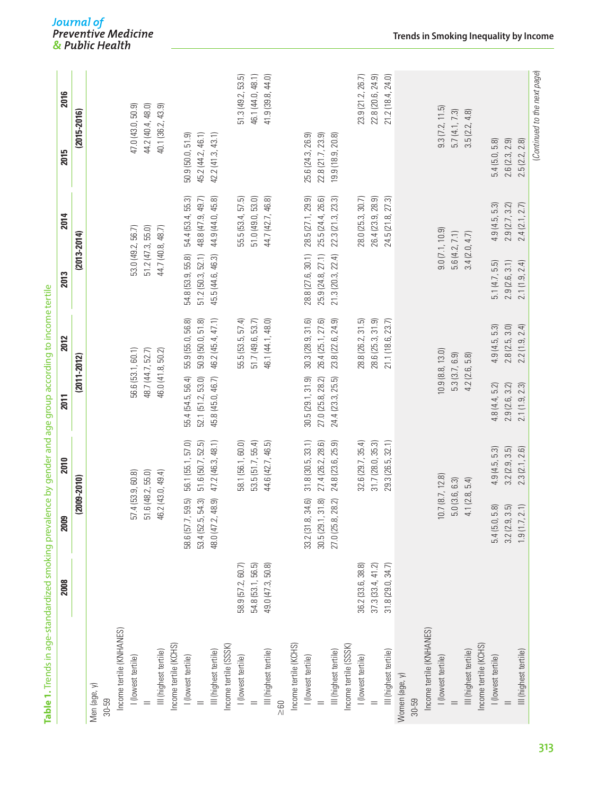| Income tertile (KNHANES)<br>Income tertile (KCHS)<br>III (highest tertile)<br>I (lowest tertile)<br>I (lowest tertile)<br>Men (age, y)<br>30-59 |                   | <u>ន</u>                    | 08-2010           | $(2011 - 2012)$   |                     | $(2013 - 2014)$            |                   | (2015-2016)              |                   |
|-------------------------------------------------------------------------------------------------------------------------------------------------|-------------------|-----------------------------|-------------------|-------------------|---------------------|----------------------------|-------------------|--------------------------|-------------------|
|                                                                                                                                                 |                   |                             |                   |                   |                     |                            |                   |                          |                   |
|                                                                                                                                                 |                   |                             |                   |                   |                     |                            |                   |                          |                   |
|                                                                                                                                                 |                   |                             |                   |                   |                     |                            |                   |                          |                   |
|                                                                                                                                                 |                   |                             |                   |                   |                     |                            |                   |                          |                   |
|                                                                                                                                                 |                   | 57.4                        | (53.9, 60.8)      | 56.6 (53.1, 60.1) |                     | 53.0 (49.2, 56.7)          |                   | 47.0 (43.0, 50.9)        |                   |
|                                                                                                                                                 |                   | 51.6 (48.2, 55.0)           |                   | 48.7 (44.7, 52.7) |                     | 51.2(47.3, 55.0)           |                   | 44.2 (40.4, 48.0)        |                   |
|                                                                                                                                                 |                   | 46.2                        | (43.0, 49.4)      | 46.0 (41.8, 50.2) |                     | 44.7 (40.8, 48.7)          |                   | 40.1 (36.2, 43.9)        |                   |
|                                                                                                                                                 |                   |                             |                   |                   |                     |                            |                   |                          |                   |
|                                                                                                                                                 |                   | 5<br>58.6 (57.7, 59.        | 56.1 (55.1, 57.0) | 55.4 (54.5, 56.4) | 55.9 (55.0, 56.8)   | 55.8)<br>54.8 (53.9,       | 54.4 (53.4, 55.3) | 50.9 (50.0, 51.9)        |                   |
|                                                                                                                                                 |                   | <u>ာ</u><br>53.4 (52.5, 54. | 51.6 (50.7, 52.5) | 52.1(51.2, 53.0)  | 50.9(50.0, 51.8)    | $51.2$ ( $50.3$ , $52.1$ ) | 48.8 (47.9, 49.7) | 45.2 (44.2, 46.1)        |                   |
| III (highest tertile)                                                                                                                           |                   | த<br>48.0 (47.2, 48.        | 47.2 (46.3, 48.1) | 45.8 (45.0, 46.7) | 46.2 (45.4, 47.1)   | 45.5 (44.6, 46.3)          | 44.9 (44.0, 45.8) | 42.2 (41.3, 43.1)        |                   |
| Income tertile (SSSK)                                                                                                                           |                   |                             |                   |                   |                     |                            |                   |                          |                   |
| I (lowest tertile)                                                                                                                              | 58.9 (57.2, 60.7) |                             | 58.1 (56.1, 60.0) |                   | 57.4<br>55.5 (53.5, |                            | 55.5 (53.4, 57.5) |                          | 51.3(49.2, 53.5)  |
|                                                                                                                                                 | 54.8 (53.1, 56.5) |                             | 53.5(51.7, 55.4)  |                   | 51.7 (49.6, 53.7)   |                            | 51.0 (49.0, 53.0) |                          | 46.1 (44.0, 48.1) |
| III (highest tertile)                                                                                                                           | 49.0 (47.3, 50.8) |                             | 44.6 (42.7, 46.5) |                   | 46.1 (44.1, 48.0)   |                            | 44.7 (42.7, 46.8) |                          | 41.9 (39.8, 44.0) |
| $\geq 60$                                                                                                                                       |                   |                             |                   |                   |                     |                            |                   |                          |                   |
| Income tertile (KCHS)                                                                                                                           |                   |                             |                   |                   |                     |                            |                   |                          |                   |
| I (lowest tertile)                                                                                                                              |                   | බ<br>33.2 (31.8, 34.        | 31.8(30.5, 33.1)  | 30.5(29.1, 31.9)  | 30.3(28.9, 31.6)    | 28.8 (27.6, 30.1)          | 28.5 (27.1, 29.9) | 25.6 (24.3, 26.9)        |                   |
|                                                                                                                                                 |                   | 6<br>30.5(29.1, 31.         | 27.4 (26.2, 28.6) | 27.0 (25.8, 28.2) | 26.4 (25.1, 27.6)   | 25.9 (24.8, 27.1)          | 25.5 (24.4, 26.6) | 22.8 (21.7, 23.9)        |                   |
| III (highest tertile)                                                                                                                           |                   | 2<br>27.0 (25.8, 28.        | 24.8 (23.6, 25.9) | 24.4 (23.3, 25.5) | 23.8 (22.6, 24.9)   | 21.3 (20.3, 22.4)          | 22.3 (21.3, 23.3) | 19.9 (18.9, 20.8)        |                   |
| Income tertile (SSSK)                                                                                                                           |                   |                             |                   |                   |                     |                            |                   |                          |                   |
| I (lowest tertile)                                                                                                                              | 36.2 (33.6, 38.8) |                             | 32.6(29.7, 35.4)  |                   | 28.8 (26.2, 31.5)   |                            | 28.0 (25.3, 30.7) |                          | 23.9 (21.2, 26.7) |
|                                                                                                                                                 | 37.3(33.4, 41.2)  |                             | 31.7(28.0, 35.3)  |                   | 28.6 (25.3, 31.9)   |                            | 26.4 (23.9, 28.9) |                          | 22.8 (20.6, 24.9) |
| III (highest tertile)                                                                                                                           | 31.8(29.0, 34.7)  |                             | 29.3 (26.5, 32.1) |                   | 21.1 (18.6, 23.7)   |                            | 24.5 (21.8, 27.3) |                          | 21.2 (18.4, 24.0) |
| Women (age, y)                                                                                                                                  |                   |                             |                   |                   |                     |                            |                   |                          |                   |
| 30-59                                                                                                                                           |                   |                             |                   |                   |                     |                            |                   |                          |                   |
| Income tertile (KNHANES)                                                                                                                        |                   |                             |                   |                   |                     |                            |                   |                          |                   |
| I (lowest tertile)                                                                                                                              |                   | 10.7                        | (8.7, 12.8)       | 10.9(8.8, 13.0)   |                     |                            | 9.0(7.1, 10.9)    | 9.3(7.2, 11.5)           |                   |
|                                                                                                                                                 |                   | 5.0                         | (3.6, 6.3)        | 5.3(3.7, 6.9)     |                     | 5.6(4.2, 7.1)              |                   | 5.7(4.1, 7.3)            |                   |
| III (highest tertile)                                                                                                                           |                   | (2.8,<br>4.1                | 5.4)              | 4.2 (2.6,         | 5.8)                | 3.4(2.0, 4.7)              |                   | 3.5(2.2, 4.8)            |                   |
| Income tertile (KCHS)                                                                                                                           |                   |                             |                   |                   |                     |                            |                   |                          |                   |
| I (lowest tertile)                                                                                                                              |                   | 5.4 (5.0, 5.8)              | 4.9(4.5, 5.3)     | 4.8(4.4, 5.2)     | 4.9(4.5, 5.3)       | 5.1(4.7, 5.5)              | 4.9(4.5, 5.3)     | 5.4(5.0, 5.8)            |                   |
|                                                                                                                                                 |                   | 3.2(2.9, 3.5)               | 3.2(2.9, 3.5)     | 2.9(2.6, 3.2)     | 3.0)<br>2.8(2.5,    | 2.9(2.6, 3.1)              | 2.9 (2.7, 3.2)    | 2.6(2.3, 2.9)            |                   |
| III (highest tertile)                                                                                                                           |                   | 1.9(1.7, 2.1)               | 2.6<br>2.3(2.1)   | 2.3<br>2.1(1.9,   | 2.4<br>2.2(1.9,     | 2.4)<br>2.1(1.9,           | 2.7)<br>2.4(2.1)  | 2.8<br>.5(2.2,<br>$\sim$ |                   |

Table 1. Trends in age-standardized smoking prevalence by gender and age group according to income tertile **Table 1.** Trends in age-standardized smoking prevalence by gender and age group according to income tertile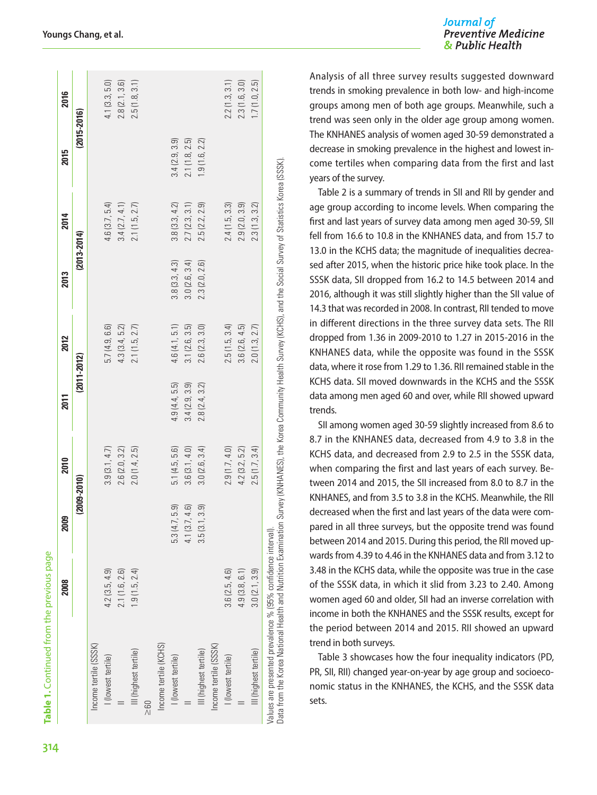|                                                                                                                               | 2008          | 2009              | 2010          | 2011            | 2012          | 2013            | 2014                                                                                                          | 2015            | 2016          |
|-------------------------------------------------------------------------------------------------------------------------------|---------------|-------------------|---------------|-----------------|---------------|-----------------|---------------------------------------------------------------------------------------------------------------|-----------------|---------------|
|                                                                                                                               |               | $(2009 - 2010)$   |               | $(2011 - 2012)$ |               | $(2013 - 2014)$ |                                                                                                               | $(2015 - 2016)$ |               |
| Income tertile (SSSK)                                                                                                         |               |                   |               |                 |               |                 |                                                                                                               |                 |               |
| I (lowest tertile)                                                                                                            | 4.2(3.5, 4.9) |                   | 3.9(3.1, 4.7) |                 | 5.7(4.9, 6.6) |                 | 4.6(3.7, 5.4)                                                                                                 |                 | 4.1(3.3, 5.0) |
|                                                                                                                               | 2.1(1.6, 2.6) |                   | 2.6(2.0, 3.2) |                 | 4.3(3.4, 5.2) |                 | 3.4(2.7, 4.1)                                                                                                 |                 | 2.8(2.1, 3.6) |
| III (highest tertile)                                                                                                         | 1.9(1.5, 2.4) |                   | 2.0(1.4, 2.5) |                 | 2.1(1.5, 2.7) |                 | 2.1(1.5, 2.7)                                                                                                 |                 | 2.5(1.8, 3.1) |
| 580                                                                                                                           |               |                   |               |                 |               |                 |                                                                                                               |                 |               |
| Income tertile (KCHS)                                                                                                         |               |                   |               |                 |               |                 |                                                                                                               |                 |               |
| I (lowest tertile)                                                                                                            |               | 5.9)<br>5.3 (4.7, | 5.1(4.5, 5.6) | 4.9(4.4, 5.5)   | 4.6(4.1, 5.1) | 3.8(3.3, 4.3)   | 3.8(3.3, 4.2)                                                                                                 | 3.4(2.9, 3.9)   |               |
|                                                                                                                               |               | 4.6<br>4.1 (3.7,  | 3.6(3.1, 4.0) | 3.4(2.9, 3.9)   | 3.1(2.6, 3.5) | 3.0(2.6, 3.4)   | 2.7(2.3, 3.1)                                                                                                 | 2.1(1.8, 2.5)   |               |
| III (highest tertile)                                                                                                         |               | 3.9<br>3.5(3.1)   | 3.0(2.6, 3.4) | 2.8(2.4, 3.2)   | 2.6(2.3, 3.0) | 2.3(2.0, 2.6)   | 2.5(2.2, 2.9)                                                                                                 | 1.9(1.6, 2.2)   |               |
| Income tertile (SSSK)                                                                                                         |               |                   |               |                 |               |                 |                                                                                                               |                 |               |
| I (lowest tertile)                                                                                                            | 3.6(2.5, 4.6) |                   | 2.9(1.7, 4.0) |                 | 2.5(1.5, 3.4) |                 | 2.4(1.5, 3.3)                                                                                                 |                 | 2.2(1.3, 3.1) |
|                                                                                                                               | 4.9(3.8, 6.1) |                   | 4.2(3.2, 5.2) |                 | 3.6(2.6, 4.5) |                 | 2.9(2.0, 3.9)                                                                                                 |                 | 2.3(1.6, 3.0) |
| III (highest tertile)                                                                                                         | 3.0(2.1, 3.9) |                   | 2.5(1.7, 3.4) |                 | 2.0(1.3, 2.7) |                 | 2.3(1.3, 3.2)                                                                                                 |                 | 1.7(1.0, 2.5) |
| Data from the Korea National Health and Nutrition Examination<br>Values are presented prevalence % (95% confidence interval). |               |                   |               |                 |               |                 | Survey (KNHANES), the Korea Community Health Survey (KCHS), and the Social Survey of Statistics Korea (SSSK). |                 |               |

Analysis of all three survey results suggested downward trends in smoking prevalence in both low- and high-income groups among men of both age groups. Meanwhile, such a trend was seen only in the older age group among women. The KNHANES analysis of women aged 30-59 demonstrated a decrease in smoking prevalence in the highest and lowest income tertiles when comparing data from the first and last years of the survey.

Table 2 is a summary of trends in SII and RII by gender and age group according to income levels. When comparing the first and last years of survey data among men aged 30-59, SII fell from 16.6 to 10.8 in the KNHANES data, and from 15.7 to 13.0 in the KCHS data; the magnitude of inequalities decreased after 2015, when the historic price hike took place. In the SSSK data, SII dropped from 16.2 to 14.5 between 2014 and 2016, although it was still slightly higher than the SII value of 14.3 that was recorded in 2008. In contrast, RII tended to move in different directions in the three survey data sets. The RII dropped from 1.36 in 2009-2010 to 1.27 in 2015-2016 in the KNHANES data, while the opposite was found in the SSSK data, where it rose from 1.29 to 1.36. RII remained stable in the KCHS data. SII moved downwards in the KCHS and the SSSK data among men aged 60 and over, while RII showed upward trends.

SII among women aged 30-59 slightly increased from 8.6 to 8.7 in the KNHANES data, decreased from 4.9 to 3.8 in the KCHS data, and decreased from 2.9 to 2.5 in the SSSK data, when comparing the first and last years of each survey. Between 2014 and 2015, the SII increased from 8.0 to 8.7 in the KNHANES, and from 3.5 to 3.8 in the KCHS. Meanwhile, the RII decreased when the first and last years of the data were compared in all three surveys, but the opposite trend was found between 2014 and 2015. During this period, the RII moved upwards from 4.39 to 4.46 in the KNHANES data and from 3.12 to 3.48 in the KCHS data, while the opposite was true in the case of the SSSK data, in which it slid from 3.23 to 2.40. Among women aged 60 and older, SII had an inverse correlation with income in both the KNHANES and the SSSK results, except for the period between 2014 and 2015. RII showed an upward trend in both surveys.

Table 3 showcases how the four inequality indicators (PD, PR, SII, RII) changed year-on-year by age group and socioeconomic status in the KNHANES, the KCHS, and the SSSK data sets.

**Table 1.** Continued from the previous page

Table 1. Continued from the previous page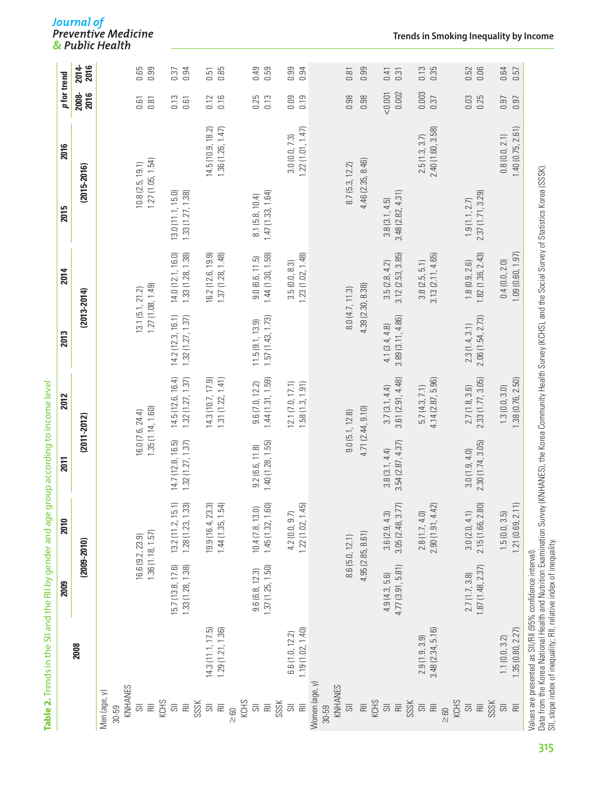|                                                                              |                                      | 2009                                                                                                                             | 2010                                  | 2011                                  | 2012                                  | 2013                                 | 2014                                                                                                                                                                       | 2015                                 | 2016                                 | p for trend      |                |
|------------------------------------------------------------------------------|--------------------------------------|----------------------------------------------------------------------------------------------------------------------------------|---------------------------------------|---------------------------------------|---------------------------------------|--------------------------------------|----------------------------------------------------------------------------------------------------------------------------------------------------------------------------|--------------------------------------|--------------------------------------|------------------|----------------|
|                                                                              | 2008                                 |                                                                                                                                  | $(2009 - 2010)$                       |                                       | $(2011 - 2012)$                       |                                      | $(2013 - 2014)$                                                                                                                                                            | $(2015 - 2016)$                      |                                      | 2008-<br>2016    | 2014-<br>2016  |
| KNHANES<br>Men (age, y)<br>30-59                                             |                                      |                                                                                                                                  |                                       |                                       |                                       |                                      |                                                                                                                                                                            |                                      |                                      |                  |                |
| KCHS<br>$\overline{5}$<br>$\equiv$                                           |                                      |                                                                                                                                  | 1.36(1.18, 1.57)<br>16.6 (9.2, 23.9)  |                                       | 1.35(1.14, 1.60)<br>16.0 (7.6, 24.4)  | 13.1(5.1, 21.2)                      | 1.27(1.08, 1.49)                                                                                                                                                           | 1.27(1.05, 1.54)<br>10.8(2.5, 19.1)  |                                      | 0.61<br>0.81     | 0.65<br>0.99   |
| SSSK<br>$\overline{\overline{\mathbb{S}}}$<br>$\equiv$                       |                                      | 1.33 (1.28, 1.38)<br>15.7 (13.8, 17.6)                                                                                           | 1.28(1.23, 1.33)<br>13.2(11.2, 15.1)  | 14.7 (12.8, 16.5)<br>1.32(1.27, 1.37) | 14.5(12.6, 16.4)<br>1.32(1.27, 1.37)  | 14.2(12.3, 16.1)<br>1.32(1.27, 1.37) | 14.0 (12.1, 16.0)<br>1.33(1.28, 1.38)                                                                                                                                      | 1.33(1.27, 1.38)<br>13.0(11.1, 15.0) |                                      | 0.13<br>0.61     | 0.94<br>0.37   |
| $\overline{\overline{\mathbb{S}}}$<br>$\equiv$<br>$\geq 60$                  | 1.29(1.21, 1.36)<br>14.3(11.1, 17.5) |                                                                                                                                  | $19.9(16.4, 23.3)$ $1.44(1.35, 1.54)$ |                                       | 1.31(1.22, 1.41)<br>14.3 (10.7, 17.9) |                                      | 16.2 (12.6, 19.9)<br>1.37 (1.28, 1.48)                                                                                                                                     |                                      | 14.5(10.9, 18.2)<br>1.36(1.26, 1.47) | 0.16<br>0.12     | 0.85<br>$0.51$ |
| KCHS<br>SSSK<br>$\overline{5}$<br>$\equiv$                                   |                                      | 1.37(1.25, 1.50)<br>9.6(6.8, 12.3)                                                                                               | 1.45(1.32, 1.60)<br>10.4(7.8, 13.0)   | 1.40(1.28, 1.55)<br>9.2(6.6, 11.8)    | 1.44(1.31, 1.59)<br>9.6(7.0, 12.2)    | 1.57 (1.43, 1.73)<br>11.5(9.1, 13.9) | 1.44(1.30, 1.59)<br>9.0(6.6, 11.5)                                                                                                                                         | 1.47(1.33, 1.64)<br>8.1(5.8, 10.4)   |                                      | 0.25<br>0.13     | 0.49<br>0.59   |
| $\equiv$<br>$\overline{5}$                                                   | 1.19(1.02, 1.40)<br>6.6(1.0, 12.2)   |                                                                                                                                  | 1.22(1.02, 1.45)<br>4.2(0.0, 9.7)     |                                       | 12.1 (7.0, 17.1)<br>1.58(1.3, 1.91)   |                                      | 1.23(1.02, 1.48)<br>3.5(0.0, 8.3)                                                                                                                                          |                                      | 1.22(1.01, 1.47)<br>3.0(0.0, 7.3)    | 0.09<br>0.19     | 0.99<br>0.94   |
| Women (age, y)<br>KNHANES<br>$\overline{\overline{\mathbb{C}}}$<br>$30 - 59$ |                                      |                                                                                                                                  | 8.6 (5.0, 12.1)                       |                                       | 9.0(5.1, 12.8)                        |                                      | 8.0(4.7, 11.3)                                                                                                                                                             | 8.7(5.3, 12.2)                       |                                      | 0.98             | 0.81           |
| $\equiv$                                                                     |                                      |                                                                                                                                  | 4.95 (2.85, 8.61)                     |                                       | 4.71 (2.44, 9.10)                     |                                      | 4.39 (2.30, 8.38)                                                                                                                                                          | 4.46 (2.35, 8.46)                    |                                      | 0.98             | 0.99           |
| KCHS<br>$\overline{\overline{\textrm{SO}}}$<br>$\equiv$                      |                                      | 4.77 (3.91, 5.81)<br>4.9(4.3, 5.6)                                                                                               | 3.05 (2.48, 3.7<br>3.6(2.9, 4.3)      | 3.54(2.87, 4.37)<br>3.8(3.1, 4.4)     | 3.61 (2.91, 4.48)<br>3.7(3.1, 4.4)    | 3.89 (3.11, 4.86)<br>4.1(3.4, 4.8)   | 3.12(2.53, 3.85)<br>3.5(2.8, 4.2)                                                                                                                                          | 3.48 (2.82, 4.31)<br>3.8(3.1, 4.5)   |                                      | 0.002<br>< 0.001 | 0.41<br>0.31   |
| SSSK<br>$\overline{5}$<br>$\equiv$<br>$\geq 60$                              | 3.48 (2.34, 5.16)<br>2.9(1.9, 3.9)   |                                                                                                                                  | 2.90(1.91, 4.42)<br>2.8(1.7, 4.0)     |                                       | 4.14(2.87, 5.96)<br>5.7(4.3, 7.1)     |                                      | 3.13(2.11, 4.65)<br>3.8(2.5, 5.1)                                                                                                                                          |                                      | 2.40 (1.60, 3.58)<br>2.5(1.3, 3.7)   | 0.003<br>0.37    | 0.13<br>0.35   |
| KCHS<br>SSSK<br>$\overline{5}$<br>$\equiv$                                   |                                      | 1.87(1.48, 2.37)<br>2.7(1.7, 3.8)                                                                                                | 2.15 (1.66, 2.80)<br>3.0(2.0, 4.1)    | 2.30 (1.74, 3.05)<br>3.0(1.9, 4.0)    | 2.33 (1.77, 3.05)<br>2.7(1.8, 3.6)    | 2.06 (1.54, 2.73)<br>2.3(1.4, 3.1)   | 1.82(1.36, 2.43)<br>1.8(0.9, 2.6)                                                                                                                                          | 2.37 (1.71, 3.29)<br>1.9(1.1, 2.7)   |                                      | 0.03<br>0.25     | 0.52<br>0.06   |
| $\overline{5}$<br>$\equiv$                                                   | 1.35(0.80, 2.27)<br>1.1(0.0, 3.2)    |                                                                                                                                  | 1.21(0.69, 2.11)<br>1.5(0.0, 3.5)     |                                       | 1.38 (0.76, 2.50)<br>1.3(0.0, 3.0)    |                                      | 1.09(0.60, 1.97)<br>0.4(0.0, 2.0)                                                                                                                                          |                                      | 1.40 (0.75, 2.61)<br>0.8(0.0, 2.1)   | 0.97<br>0.97     | 0.64<br>0.57   |
|                                                                              |                                      | SII, slope index of inequality; RII, relative index of inequality.<br>Values are presented as SII/RII (95% confidence interval). |                                       |                                       |                                       |                                      | Data from the Korea National Health and Nutrition Examination Survey (KNHANES), the Korea Community Health Survey (KCHS), and the Social Survey of Statistics Korea (SSSK) |                                      |                                      |                  |                |

J<mark>ournal of</mark><br>Preventive Medicine<br>& Public Health

**Table 2.** Trends in the SII and the RII by gender and age group according to income level

Table 2. Trends in the SII and the RII by gender and age group according to income level

**315**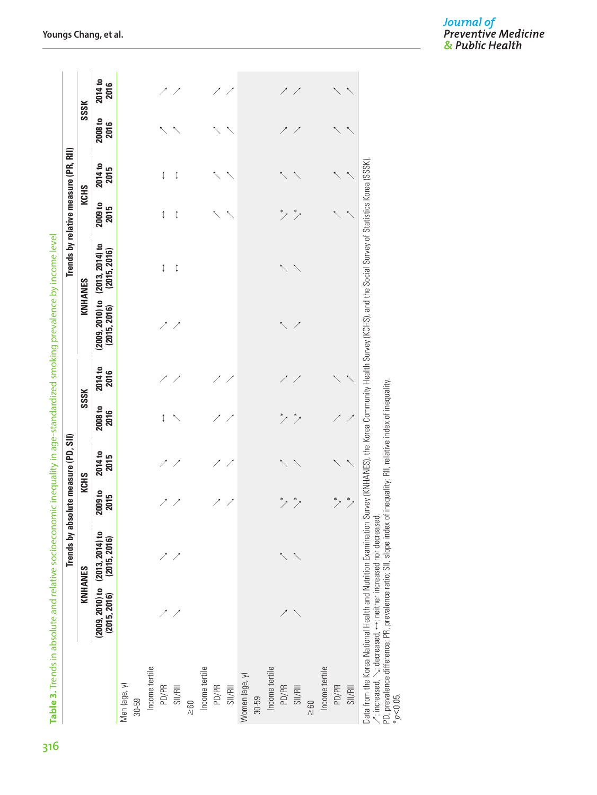|  | ق                          |
|--|----------------------------|
|  | 5<br>$\tilde{\mathbb{Q}}$  |
|  | ļ                          |
|  | Ò<br>ť                     |
|  |                            |
|  |                            |
|  | j<br>5<br>¢                |
|  | ļ                          |
|  | ć<br>١<br>S                |
|  | ł<br>١<br>≍                |
|  |                            |
|  | ţ                          |
|  | I<br>١<br>ī<br>j           |
|  | ¢<br>İ<br>ŕ<br>Į<br>i<br>j |
|  | S<br>ī                     |
|  | Í<br>j<br>S<br>ī           |
|  | t<br>ì<br>i                |
|  | ă<br>j<br>١                |
|  | S                          |
|  | Ŧ                          |
|  | Ì                          |
|  | .<br>1<br>-<br>j<br>ļ      |
|  |                            |
|  | Ì<br>I                     |
|  | ļ                          |
|  | Ó<br>j                     |
|  |                            |
|  | ţ<br>١                     |
|  |                            |
|  |                            |
|  |                            |
|  | I<br>ļ<br>j                |
|  | Ì                          |
|  | ć                          |
|  | I<br>$\subseteq$           |
|  | nds                        |
|  | ł                          |
|  | Table 3. i.                |
|  |                            |
|  |                            |
|  |                            |
|  | 316                        |

|                                                                                                                                                                                                                                                                             |              | Trends by absolute measure (PD, SII)                |                   |                        |                 |                        |                                   |                                   |                 | Trends by relative measure (PR, RII) |                        |                 |
|-----------------------------------------------------------------------------------------------------------------------------------------------------------------------------------------------------------------------------------------------------------------------------|--------------|-----------------------------------------------------|-------------------|------------------------|-----------------|------------------------|-----------------------------------|-----------------------------------|-----------------|--------------------------------------|------------------------|-----------------|
|                                                                                                                                                                                                                                                                             |              | KNHANES                                             |                   | <b>KCHS</b>            |                 | SSSK                   |                                   | KNHANES                           |                 | <b>KCHS</b>                          |                        | SSSK            |
|                                                                                                                                                                                                                                                                             | (2015, 2016) | $(2009, 2010)$ to $(2013, 2014)$ to<br>(2015, 2016) | $2009$ to<br>2015 | <b>2014</b> to<br>2015 | 2008 to<br>2016 | <b>2014</b> to<br>2016 | $(2009, 2010)$ to<br>(2015, 2016) | $(2013, 2014)$ to<br>(2015, 2016) | 2009 to<br>2015 | 2014 to<br>2015                      | <b>2008 to</b><br>2016 | 2014 to<br>2016 |
| Men (age, y)                                                                                                                                                                                                                                                                |              |                                                     |                   |                        |                 |                        |                                   |                                   |                 |                                      |                        |                 |
| 30-59                                                                                                                                                                                                                                                                       |              |                                                     |                   |                        |                 |                        |                                   |                                   |                 |                                      |                        |                 |
| Income tertile                                                                                                                                                                                                                                                              |              |                                                     |                   |                        |                 |                        |                                   |                                   |                 |                                      |                        |                 |
| PD/PR                                                                                                                                                                                                                                                                       |              |                                                     |                   |                        | Î               |                        |                                   | Î                                 | ⇕               | ⇕                                    |                        |                 |
| SI/RI                                                                                                                                                                                                                                                                       |              |                                                     |                   |                        |                 |                        |                                   | ↥                                 | ⇕               | ⇕                                    |                        |                 |
| $\geq 60$                                                                                                                                                                                                                                                                   |              |                                                     |                   |                        |                 |                        |                                   |                                   |                 |                                      |                        |                 |
| Income tertile                                                                                                                                                                                                                                                              |              |                                                     |                   |                        |                 |                        |                                   |                                   |                 |                                      |                        |                 |
| PD/PR                                                                                                                                                                                                                                                                       |              |                                                     |                   |                        |                 |                        |                                   |                                   |                 |                                      |                        |                 |
| SI/RII                                                                                                                                                                                                                                                                      |              |                                                     |                   |                        |                 |                        |                                   |                                   |                 |                                      |                        |                 |
| Women (age, y)                                                                                                                                                                                                                                                              |              |                                                     |                   |                        |                 |                        |                                   |                                   |                 |                                      |                        |                 |
| $30 - 59$                                                                                                                                                                                                                                                                   |              |                                                     |                   |                        |                 |                        |                                   |                                   |                 |                                      |                        |                 |
| Income tertile                                                                                                                                                                                                                                                              |              |                                                     |                   |                        |                 |                        |                                   |                                   |                 |                                      |                        |                 |
| PD/PR                                                                                                                                                                                                                                                                       |              |                                                     |                   |                        |                 |                        |                                   |                                   |                 |                                      |                        |                 |
| SI/RI                                                                                                                                                                                                                                                                       |              |                                                     | $*$               |                        |                 |                        |                                   |                                   |                 |                                      |                        |                 |
| $\geq 60$                                                                                                                                                                                                                                                                   |              |                                                     |                   |                        |                 |                        |                                   |                                   |                 |                                      |                        |                 |
| Income tertile                                                                                                                                                                                                                                                              |              |                                                     |                   |                        |                 |                        |                                   |                                   |                 |                                      |                        |                 |
| PD/PR                                                                                                                                                                                                                                                                       |              |                                                     |                   |                        |                 |                        |                                   |                                   |                 |                                      |                        |                 |
| S1/RI                                                                                                                                                                                                                                                                       |              |                                                     |                   |                        |                 |                        |                                   |                                   |                 |                                      |                        |                 |
| Data from the Korea National Health and Nutrition Examination Survey (KNHANES), the Korea Community Health Survey (KCHS), and the Social Survey of Statistics Korea (SSSK)<br>$\gamma$ : increased, $\sim$ : decreased, $\leftrightarrow$ : neither increased nor decreased |              |                                                     |                   |                        |                 |                        |                                   |                                   |                 |                                      |                        |                 |

PD, prevalence difference; PR, prevalence ratio; SII, slope index of inequality; RII, relative index of inequality. /: increased, \; decreased, ++: neither increased nor decreased.<br>PD, prevalence difference; PR, prevalence ratio; SII, slope index of inequality; RII, relative index of inequality.<br>\**p<*0.05.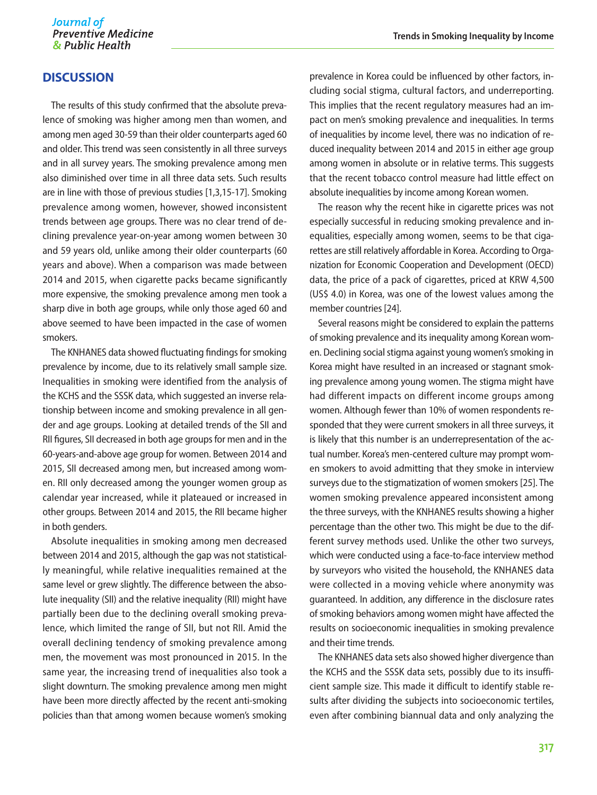# **DISCUSSION**

The results of this study confirmed that the absolute prevalence of smoking was higher among men than women, and among men aged 30-59 than their older counterparts aged 60 and older. This trend was seen consistently in all three surveys and in all survey years. The smoking prevalence among men also diminished over time in all three data sets. Such results are in line with those of previous studies [1,3,15-17]. Smoking prevalence among women, however, showed inconsistent trends between age groups. There was no clear trend of declining prevalence year-on-year among women between 30 and 59 years old, unlike among their older counterparts (60 years and above). When a comparison was made between 2014 and 2015, when cigarette packs became significantly more expensive, the smoking prevalence among men took a sharp dive in both age groups, while only those aged 60 and above seemed to have been impacted in the case of women smokers.

The KNHANES data showed fluctuating findings for smoking prevalence by income, due to its relatively small sample size. Inequalities in smoking were identified from the analysis of the KCHS and the SSSK data, which suggested an inverse relationship between income and smoking prevalence in all gender and age groups. Looking at detailed trends of the SII and RII figures, SII decreased in both age groups for men and in the 60-years-and-above age group for women. Between 2014 and 2015, SII decreased among men, but increased among women. RII only decreased among the younger women group as calendar year increased, while it plateaued or increased in other groups. Between 2014 and 2015, the RII became higher in both genders.

Absolute inequalities in smoking among men decreased between 2014 and 2015, although the gap was not statistically meaningful, while relative inequalities remained at the same level or grew slightly. The difference between the absolute inequality (SII) and the relative inequality (RII) might have partially been due to the declining overall smoking prevalence, which limited the range of SII, but not RII. Amid the overall declining tendency of smoking prevalence among men, the movement was most pronounced in 2015. In the same year, the increasing trend of inequalities also took a slight downturn. The smoking prevalence among men might have been more directly affected by the recent anti-smoking policies than that among women because women's smoking

prevalence in Korea could be influenced by other factors, including social stigma, cultural factors, and underreporting. This implies that the recent regulatory measures had an impact on men's smoking prevalence and inequalities. In terms of inequalities by income level, there was no indication of reduced inequality between 2014 and 2015 in either age group among women in absolute or in relative terms. This suggests that the recent tobacco control measure had little effect on absolute inequalities by income among Korean women.

The reason why the recent hike in cigarette prices was not especially successful in reducing smoking prevalence and inequalities, especially among women, seems to be that cigarettes are still relatively affordable in Korea. According to Organization for Economic Cooperation and Development (OECD) data, the price of a pack of cigarettes, priced at KRW 4,500 (US\$ 4.0) in Korea, was one of the lowest values among the member countries [24].

Several reasons might be considered to explain the patterns of smoking prevalence and its inequality among Korean women. Declining social stigma against young women's smoking in Korea might have resulted in an increased or stagnant smoking prevalence among young women. The stigma might have had different impacts on different income groups among women. Although fewer than 10% of women respondents responded that they were current smokers in all three surveys, it is likely that this number is an underrepresentation of the actual number. Korea's men-centered culture may prompt women smokers to avoid admitting that they smoke in interview surveys due to the stigmatization of women smokers [25]. The women smoking prevalence appeared inconsistent among the three surveys, with the KNHANES results showing a higher percentage than the other two. This might be due to the different survey methods used. Unlike the other two surveys, which were conducted using a face-to-face interview method by surveyors who visited the household, the KNHANES data were collected in a moving vehicle where anonymity was guaranteed. In addition, any difference in the disclosure rates of smoking behaviors among women might have affected the results on socioeconomic inequalities in smoking prevalence and their time trends.

The KNHANES data sets also showed higher divergence than the KCHS and the SSSK data sets, possibly due to its insufficient sample size. This made it difficult to identify stable results after dividing the subjects into socioeconomic tertiles, even after combining biannual data and only analyzing the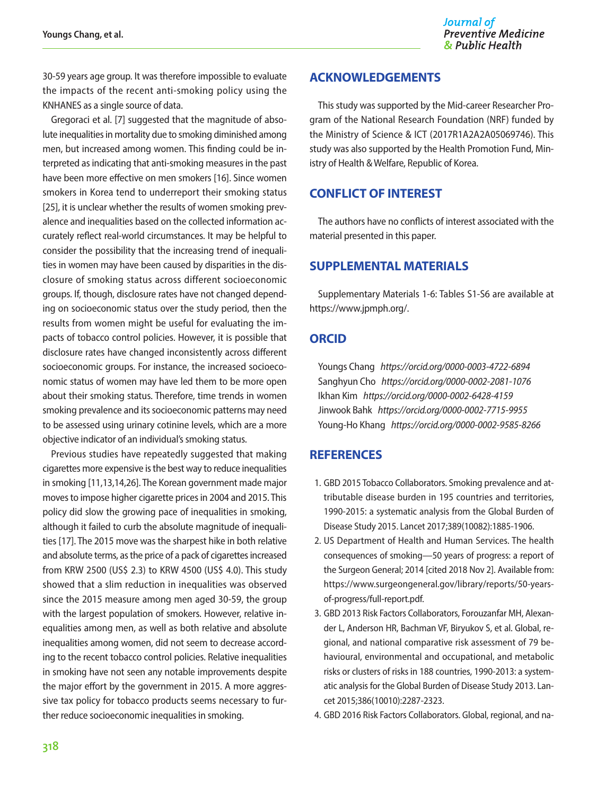30-59 years age group. It was therefore impossible to evaluate the impacts of the recent anti-smoking policy using the KNHANES as a single source of data.

Gregoraci et al. [7] suggested that the magnitude of absolute inequalities in mortality due to smoking diminished among men, but increased among women. This finding could be interpreted as indicating that anti-smoking measures in the past have been more effective on men smokers [16]. Since women smokers in Korea tend to underreport their smoking status [25], it is unclear whether the results of women smoking prevalence and inequalities based on the collected information accurately reflect real-world circumstances. It may be helpful to consider the possibility that the increasing trend of inequalities in women may have been caused by disparities in the disclosure of smoking status across different socioeconomic groups. If, though, disclosure rates have not changed depending on socioeconomic status over the study period, then the results from women might be useful for evaluating the impacts of tobacco control policies. However, it is possible that disclosure rates have changed inconsistently across different socioeconomic groups. For instance, the increased socioeconomic status of women may have led them to be more open about their smoking status. Therefore, time trends in women smoking prevalence and its socioeconomic patterns may need to be assessed using urinary cotinine levels, which are a more objective indicator of an individual's smoking status.

Previous studies have repeatedly suggested that making cigarettes more expensive is the best way to reduce inequalities in smoking [11,13,14,26]. The Korean government made major moves to impose higher cigarette prices in 2004 and 2015. This policy did slow the growing pace of inequalities in smoking, although it failed to curb the absolute magnitude of inequalities [17]. The 2015 move was the sharpest hike in both relative and absolute terms, as the price of a pack of cigarettes increased from KRW 2500 (US\$ 2.3) to KRW 4500 (US\$ 4.0). This study showed that a slim reduction in inequalities was observed since the 2015 measure among men aged 30-59, the group with the largest population of smokers. However, relative inequalities among men, as well as both relative and absolute inequalities among women, did not seem to decrease according to the recent tobacco control policies. Relative inequalities in smoking have not seen any notable improvements despite the major effort by the government in 2015. A more aggressive tax policy for tobacco products seems necessary to further reduce socioeconomic inequalities in smoking.

# **ACKNOWLEDGEMENTS**

This study was supported by the Mid-career Researcher Program of the National Research Foundation (NRF) funded by the Ministry of Science & ICT (2017R1A2A2A05069746). This study was also supported by the Health Promotion Fund, Ministry of Health & Welfare, Republic of Korea.

# **CONFLICT OF INTEREST**

The authors have no conflicts of interest associated with the material presented in this paper.

# **SUPPLEMENTAL MATERIALS**

Supplementary Materials 1-6: Tables S1-S6 are available at https://www.jpmph.org/.

#### **ORCID**

Youngs Chang *https://orcid.org/0000-0003-4722-6894*  Sanghyun Cho *https://orcid.org/0000-0002-2081-1076*  Ikhan Kim *https://orcid.org/0000-0002-6428-4159*  Jinwook Bahk *https://orcid.org/0000-0002-7715-9955*  Young-Ho Khang *https://orcid.org/0000-0002-9585-8266*

# **REFERENCES**

- 1. GBD 2015 Tobacco Collaborators. Smoking prevalence and attributable disease burden in 195 countries and territories, 1990-2015: a systematic analysis from the Global Burden of Disease Study 2015. Lancet 2017;389(10082):1885-1906.
- 2. US Department of Health and Human Services. The health consequences of smoking—50 years of progress: a report of the Surgeon General; 2014 [cited 2018 Nov 2]. Available from: https://www.surgeongeneral.gov/library/reports/50-yearsof-progress/full-report.pdf.
- 3. GBD 2013 Risk Factors Collaborators, Forouzanfar MH, Alexander L, Anderson HR, Bachman VF, Biryukov S, et al. Global, regional, and national comparative risk assessment of 79 behavioural, environmental and occupational, and metabolic risks or clusters of risks in 188 countries, 1990-2013: a systematic analysis for the Global Burden of Disease Study 2013. Lancet 2015;386(10010):2287-2323.
- 4. GBD 2016 Risk Factors Collaborators. Global, regional, and na-